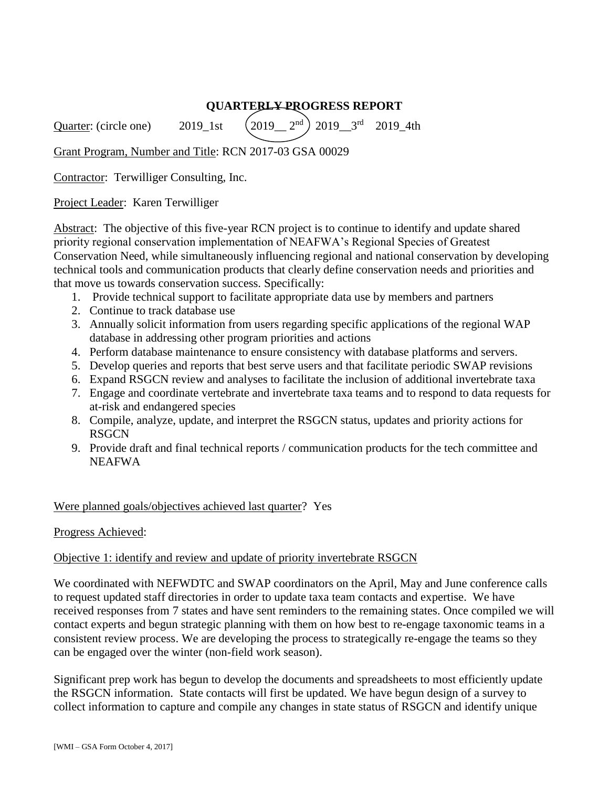# **QUARTERLY PROGRESS REPORT**

Quarter: (circle one) 2019\_1st )  $2019 - 3^{rd}$  2019 4th

Grant Program, Number and Title: RCN 2017-03 GSA 00029

Contractor: Terwilliger Consulting, Inc.

Project Leader: Karen Terwilliger

Abstract: The objective of this five-year RCN project is to continue to identify and update shared priority regional conservation implementation of NEAFWA's Regional Species of Greatest Conservation Need, while simultaneously influencing regional and national conservation by developing technical tools and communication products that clearly define conservation needs and priorities and that move us towards conservation success. Specifically:

- 1. Provide technical support to facilitate appropriate data use by members and partners
- 2. Continue to track database use
- 3. Annually solicit information from users regarding specific applications of the regional WAP database in addressing other program priorities and actions
- 4. Perform database maintenance to ensure consistency with database platforms and servers.
- 5. Develop queries and reports that best serve users and that facilitate periodic SWAP revisions
- 6. Expand RSGCN review and analyses to facilitate the inclusion of additional invertebrate taxa
- 7. Engage and coordinate vertebrate and invertebrate taxa teams and to respond to data requests for at-risk and endangered species
- 8. Compile, analyze, update, and interpret the RSGCN status, updates and priority actions for RSGCN
- 9. Provide draft and final technical reports / communication products for the tech committee and NEAFWA

#### Were planned goals/objectives achieved last quarter? Yes

#### Progress Achieved:

#### Objective 1: identify and review and update of priority invertebrate RSGCN

We coordinated with NEFWDTC and SWAP coordinators on the April, May and June conference calls to request updated staff directories in order to update taxa team contacts and expertise. We have received responses from 7 states and have sent reminders to the remaining states. Once compiled we will contact experts and begun strategic planning with them on how best to re-engage taxonomic teams in a consistent review process. We are developing the process to strategically re-engage the teams so they can be engaged over the winter (non-field work season).

Significant prep work has begun to develop the documents and spreadsheets to most efficiently update the RSGCN information. State contacts will first be updated. We have begun design of a survey to collect information to capture and compile any changes in state status of RSGCN and identify unique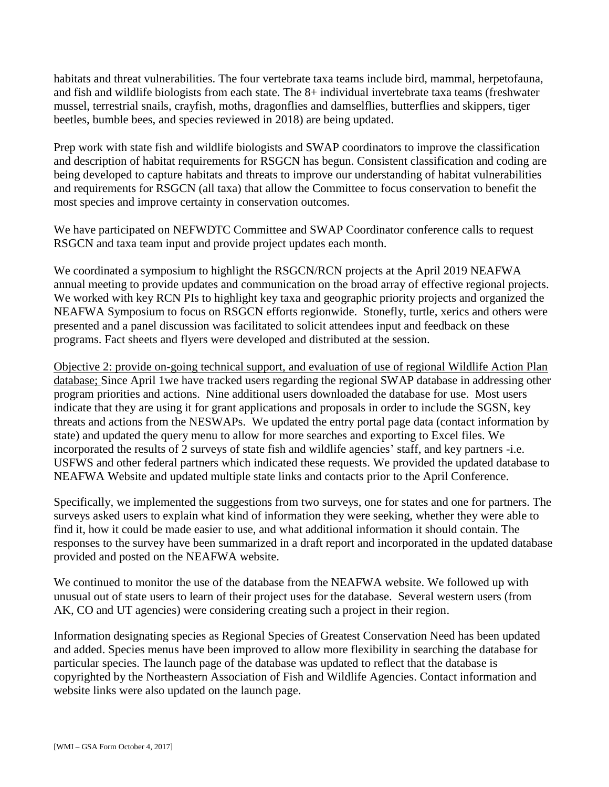habitats and threat vulnerabilities. The four vertebrate taxa teams include bird, mammal, herpetofauna, and fish and wildlife biologists from each state. The 8+ individual invertebrate taxa teams (freshwater mussel, terrestrial snails, crayfish, moths, dragonflies and damselflies, butterflies and skippers, tiger beetles, bumble bees, and species reviewed in 2018) are being updated.

Prep work with state fish and wildlife biologists and SWAP coordinators to improve the classification and description of habitat requirements for RSGCN has begun. Consistent classification and coding are being developed to capture habitats and threats to improve our understanding of habitat vulnerabilities and requirements for RSGCN (all taxa) that allow the Committee to focus conservation to benefit the most species and improve certainty in conservation outcomes.

We have participated on NEFWDTC Committee and SWAP Coordinator conference calls to request RSGCN and taxa team input and provide project updates each month.

We coordinated a symposium to highlight the RSGCN/RCN projects at the April 2019 NEAFWA annual meeting to provide updates and communication on the broad array of effective regional projects. We worked with key RCN PIs to highlight key taxa and geographic priority projects and organized the NEAFWA Symposium to focus on RSGCN efforts regionwide. Stonefly, turtle, xerics and others were presented and a panel discussion was facilitated to solicit attendees input and feedback on these programs. Fact sheets and flyers were developed and distributed at the session.

Objective 2: provide on-going technical support, and evaluation of use of regional Wildlife Action Plan database; Since April 1we have tracked users regarding the regional SWAP database in addressing other program priorities and actions. Nine additional users downloaded the database for use. Most users indicate that they are using it for grant applications and proposals in order to include the SGSN, key threats and actions from the NESWAPs. We updated the entry portal page data (contact information by state) and updated the query menu to allow for more searches and exporting to Excel files. We incorporated the results of 2 surveys of state fish and wildlife agencies' staff, and key partners -i.e. USFWS and other federal partners which indicated these requests. We provided the updated database to NEAFWA Website and updated multiple state links and contacts prior to the April Conference.

Specifically, we implemented the suggestions from two surveys, one for states and one for partners. The surveys asked users to explain what kind of information they were seeking, whether they were able to find it, how it could be made easier to use, and what additional information it should contain. The responses to the survey have been summarized in a draft report and incorporated in the updated database provided and posted on the NEAFWA website.

We continued to monitor the use of the database from the NEAFWA website. We followed up with unusual out of state users to learn of their project uses for the database. Several western users (from AK, CO and UT agencies) were considering creating such a project in their region.

Information designating species as Regional Species of Greatest Conservation Need has been updated and added. Species menus have been improved to allow more flexibility in searching the database for particular species. The launch page of the database was updated to reflect that the database is copyrighted by the Northeastern Association of Fish and Wildlife Agencies. Contact information and website links were also updated on the launch page.